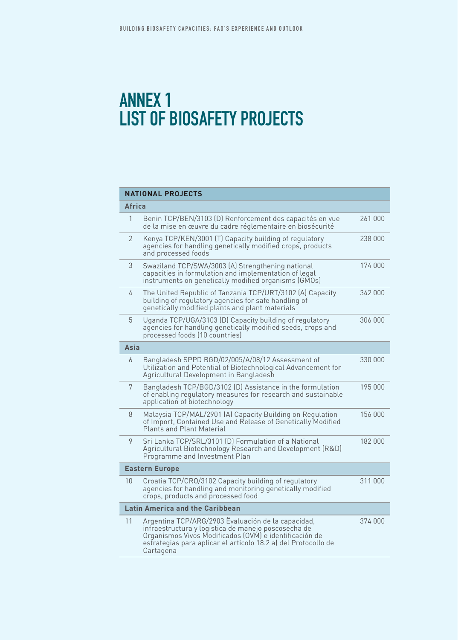## Annex 1 list of biosafety projects

## **NATIONAL PROJECTS**

| <b>Africa</b>         |                                                                                                                                                                                                                                                    |         |  |  |
|-----------------------|----------------------------------------------------------------------------------------------------------------------------------------------------------------------------------------------------------------------------------------------------|---------|--|--|
| 1                     | Benin TCP/BEN/3103 (D) Renforcement des capacités en vue<br>de la mise en œuvre du cadre réglementaire en biosécurité                                                                                                                              | 261 000 |  |  |
| 2                     | Kenya TCP/KEN/3001 (T) Capacity building of regulatory<br>agencies for handling genetically modified crops, products<br>and processed foods                                                                                                        | 238 000 |  |  |
| 3                     | Swaziland TCP/SWA/3003 (A) Strengthening national<br>capacities in formulation and implementation of legal<br>instruments on genetically modified organisms (GMOs)                                                                                 | 174 000 |  |  |
| 4                     | The United Republic of Tanzania TCP/URT/3102 (A) Capacity<br>building of regulatory agencies for safe handling of<br>genetically modified plants and plant materials                                                                               | 342 000 |  |  |
| 5                     | Uganda TCP/UGA/3103 (D) Capacity building of regulatory<br>agencies for handling genetically modified seeds, crops and<br>processed foods (10 countries)                                                                                           | 306 000 |  |  |
| Asia                  |                                                                                                                                                                                                                                                    |         |  |  |
| 6                     | Bangladesh SPPD BGD/02/005/A/08/12 Assessment of<br>Utilization and Potential of Biotechnological Advancement for<br>Agricultural Development in Bangladesh                                                                                        | 330 000 |  |  |
| 7                     | Bangladesh TCP/BGD/3102 (D) Assistance in the formulation<br>of enabling regulatory measures for research and sustainable<br>application of biotechnology                                                                                          | 195 000 |  |  |
| 8                     | Malaysia TCP/MAL/2901 (A) Capacity Building on Regulation<br>of Import, Contained Use and Release of Genetically Modified<br>Plants and Plant Material                                                                                             | 156 000 |  |  |
| 9                     | Sri Lanka TCP/SRL/3101 (D) Formulation of a National<br>Agricultural Biotechnology Research and Development (R&D)<br>Programme and Investment Plan                                                                                                 | 182 000 |  |  |
| <b>Eastern Europe</b> |                                                                                                                                                                                                                                                    |         |  |  |
| 10                    | Croatia TCP/CRO/3102 Capacity building of regulatory<br>agencies for handling and monitoring genetically modified<br>crops, products and processed food                                                                                            | 311 000 |  |  |
|                       | <b>Latin America and the Caribbean</b>                                                                                                                                                                                                             |         |  |  |
| 11                    | Argentina TCP/ARG/2903 Evaluación de la capacidad,<br>infraestructura y logistica de manejo poscosecha de<br>Organismos Vivos Modificados (OVM) e identificación de<br>estrategias para aplicar el articolo 18.2 a) del Protocollo de<br>Cartagena | 374 000 |  |  |
|                       |                                                                                                                                                                                                                                                    |         |  |  |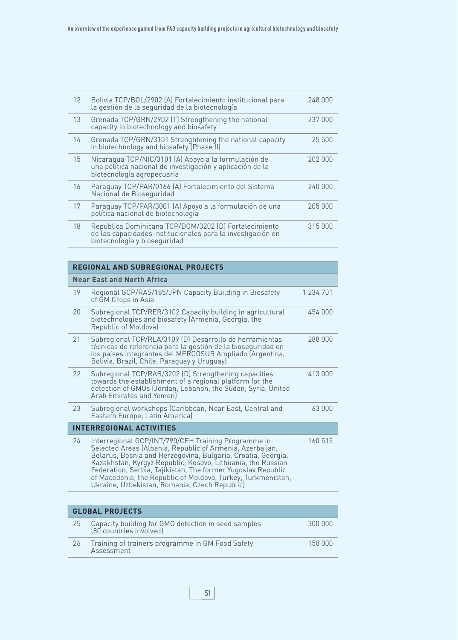| 12 | Bolivia TCP/BOL/2902 (A) Fortalecimiento institucional para<br>la gestión de la seguridad de la biotecnología                                        | 248 000 |
|----|------------------------------------------------------------------------------------------------------------------------------------------------------|---------|
| 13 | Grenada TCP/GRN/2902 (T) Strengthening the national<br>capacity in biotechnology and biosafety                                                       | 237 000 |
| 14 | Grenada TCP/GRN/3101 Strenghtening the national capacity<br>in biotechnology and biosafety (Phase II)                                                | 25 500  |
| 15 | Nicaragua TCP/NIC/3101 (A) Apoyo a la formulación de<br>una política nacional de investigación y aplicación de la<br>biotecnología agropecuaria      | 202 000 |
| 16 | Paraguay TCP/PAR/0166 [A] Fortalecimiento del Sistema<br>Nacional de Bioseguridad                                                                    | 240 000 |
| 17 | Paraguay TCP/PAR/3001 (A) Apoyo a la formulación de una<br>política nacional de biotecnología                                                        | 205 000 |
| 18 | República Dominicana TCP/DOM/3202 (D) Fortalecimiento<br>de las capacidades institucionales para la investigación en<br>biotecnología y bioseguridad | 315 000 |

## **REGIONAL and SUBREGIONAL PROJECTS**

| <b>Near East and North Africa</b> |                                                                                                                                                                                                                                                                                                                                                                                                                                  |           |  |  |
|-----------------------------------|----------------------------------------------------------------------------------------------------------------------------------------------------------------------------------------------------------------------------------------------------------------------------------------------------------------------------------------------------------------------------------------------------------------------------------|-----------|--|--|
| 19                                | Regional GCP/RAS/185/JPN Capacity Building in Biosafety<br>of GM Crops in Asia                                                                                                                                                                                                                                                                                                                                                   | 1 234 701 |  |  |
| 20                                | Subregional TCP/RER/3102 Capacity building in agricultural<br>biotechnologies and biosafety (Armenia, Georgia, the<br>Republic of Moldova)                                                                                                                                                                                                                                                                                       | 454 000   |  |  |
| 21                                | Subregional TCP/RLA/3109 (D) Desarrollo de herramientas<br>técnicas de referencia para la gestión de la bioseguridad en<br>los países integrantes del MERCOSUR Ampliado (Argentina,<br>Bolivia, Brazil, Chile, Paraguay y Uruguay)                                                                                                                                                                                               | 288 000   |  |  |
| 22                                | Subregional TCP/RAB/3202 (D) Strengthening capacities<br>towards the establishment of a regional platform for the<br>detection of GMOs (Jordan, Lebanon, the Sudan, Syria, United<br>Arab Emirates and Yemenl                                                                                                                                                                                                                    | 413 000   |  |  |
| 23                                | Subregional workshops (Caribbean, Near East, Central and<br>Eastern Europe, Latin America)                                                                                                                                                                                                                                                                                                                                       | 63 000    |  |  |
| <b>INTERREGIONAL ACTIVITIES</b>   |                                                                                                                                                                                                                                                                                                                                                                                                                                  |           |  |  |
| 24                                | Interregional GCP/INT/790/CEH Training Programme in<br>Selected Areas (Albania, Republic of Armenia, Azerbaijan,<br>Belarus, Bosnia and Herzegovina, Bulgaria, Croatia, Georgia,<br>Kazakhstan, Kyrgyz Republic, Kosovo, Lithuania, the Russian<br>Federation, Serbia, Tajikistan, The former Yugoslav Republic<br>of Macedonia, the Republic of Moldova, Turkey, Turkmenistan,<br>Ukraine, Uzbekistan, Romania, Czech Republic) | 160 515   |  |  |

| <b>GLOBAL PROJECTS</b> |                                                                                |         |  |
|------------------------|--------------------------------------------------------------------------------|---------|--|
| 25                     | Capacity building for GMO detection in seed samples<br>(80 countries involved) | 300 000 |  |
| 26                     | Training of trainers programme in GM Food Safety<br>Assessment                 | 150,000 |  |